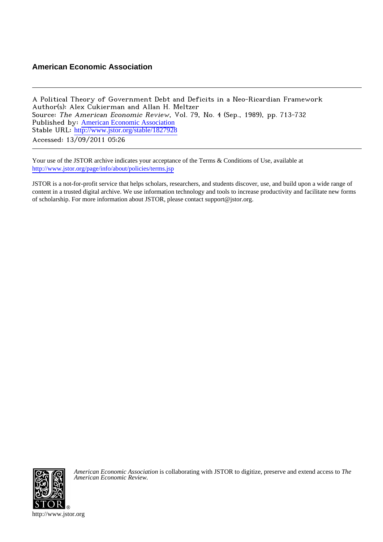## **American Economic Association**

A Political Theory of Government Debt and Deficits in a Neo-Ricardian Framework Author(s): Alex Cukierman and Allan H. Meltzer Source: The American Economic Review, Vol. 79, No. 4 (Sep., 1989), pp. 713-732 Published by: [American Economic Association](http://www.jstor.org/action/showPublisher?publisherCode=aea) Stable URL: [http://www.jstor.org/stable/1827928](http://www.jstor.org/stable/1827928?origin=JSTOR-pdf) Accessed: 13/09/2011 05:26

Your use of the JSTOR archive indicates your acceptance of the Terms & Conditions of Use, available at <http://www.jstor.org/page/info/about/policies/terms.jsp>

JSTOR is a not-for-profit service that helps scholars, researchers, and students discover, use, and build upon a wide range of content in a trusted digital archive. We use information technology and tools to increase productivity and facilitate new forms of scholarship. For more information about JSTOR, please contact support@jstor.org.



*American Economic Association* is collaborating with JSTOR to digitize, preserve and extend access to *The American Economic Review.*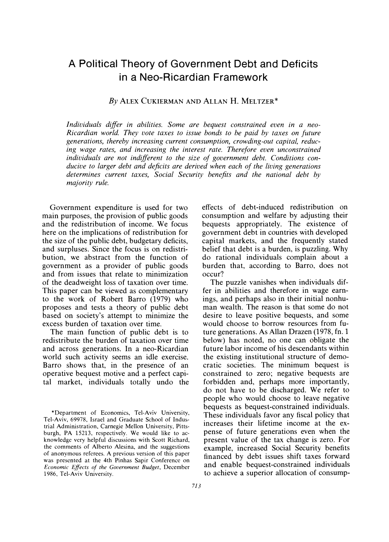# **A Political Theory of Government Debt and Deficits in a Neo-Ricardian Framework**

**By ALEX CUKIERMAN AND ALLAN H. MELTZER\*** 

**Individuals differ in abilities. Some are bequest constrained even in a neo-Ricardian world. They vote taxes to issue bonds to be paid by taxes on future generations, thereby increasing current consumption, crowding-out capital, reducing wage rates, and increasing the interest rate. Therefore even unconstrained individuals are not indifferent to the size of government debt. Conditions conducive to larger debt and deficits are derived when each of the living generations determines current taxes, Social Security benefits and the national debt by majority rule.** 

**Government expenditure is used for two main purposes, the provision of public goods and the redistribution of income. We focus here on the implications of redistribution for the size of the public debt, budgetary deficits, and surpluses. Since the focus is on redistribution, we abstract from the function of government as a provider of public goods and from issues that relate to minimization of the deadweight loss of taxation over time. This paper can be viewed as complementary to the work of Robert Barro (1979) who proposes and tests a theory of public debt based on society's attempt to minimize the excess burden of taxation over time.** 

**The main function of public debt is to redistribute the burden of taxation over time and across generations. In a neo-Ricardian world such activity seems an idle exercise. Barro shows that, in the presence of an operative bequest motive and a perfect capital market, individuals totally undo the**  **effects of debt-induced redistribution on consumption and welfare by adjusting their bequests appropriately. The existence of government debt in countries with developed capital markets, and the frequently stated belief that debt is a burden, is puzzling. Why do rational individuals complain about a burden that, according to Barro, does not occur?** 

**The puzzle vanishes when individuals differ in abilities and therefore in wage earnings, and perhaps also in their initial nonhuman wealth. The reason is that some do not desire to leave positive bequests, and some would choose to borrow resources from future generations. As Allan Drazen (1978, fn. 1 below) has noted, no one can obligate the future labor income of his descendants within the existing institutional structure of democratic societies. The minimum bequest is constrained to zero; negative bequests are forbidden and, perhaps more importantly, do not have to be discharged. We refer to people who would choose to leave negative bequests as bequest-constrained individuals. These individuals favor any fiscal policy that increases their lifetime income at the expense of future generations even when the present value of the tax change is zero. For example, increased Social Security benefits financed by debt issues shift taxes forward and enable bequest-constrained individuals to achieve a superior allocation of consump-** 

**<sup>\*</sup>Department of Economics, Tel-Aviv University, Tel-Aviv, 69978, Israel and Graduate School of Industrial Administration, Carnegie Mellon University, Pittsburgh, PA 15213, respectively. We would like to acknowledge very helpful discussions with Scott Richard, the comments of Alberto Alesina, and the suggestions of anonymous referees. A previous version of this paper was presented at the 4th Pinhas Sapir Conference on Economic Effects of the Government Budget, December 1986, Tel-Aviv University.**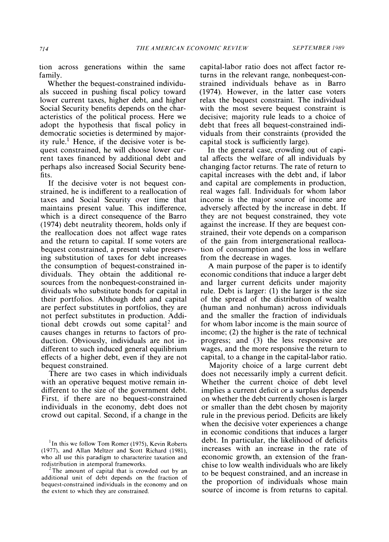**tion across generations within the same family.** 

**Whether the bequest-constrained individuals succeed in pushing fiscal policy toward lower current taxes, higher debt, and higher Social Security benefits depends on the characteristics of the political process. Here we adopt the hypothesis that fiscal policy in democratic societies is determined by majority rule.1 Hence, if the decisive voter is bequest constrained, he will choose lower current taxes financed by additional debt and perhaps also increased Social Security benefits.** 

**If the decisive voter is not bequest constrained, he is indifferent to a reallocation of taxes and Social Security over time that maintains present value. This indifference, which is a direct consequence of the Barro (1974) debt neutrality theorem, holds only if the reallocation does not affect wage rates and the return to capital. If some voters are bequest constrained, a present value preserving substitution of taxes for debt increases the consumption of bequest-constrained individuals. They obtain the additional resources from the nonbequest-constrained individuals who substitute bonds for capital in their portfolios. Although debt and capital are perfect substitutes in portfolios, they are not perfect substitutes in production. Additional debt crowds out some capital2 and causes changes in returns to factors of production. Obviously, individuals are not indifferent to such induced general equilibrium effects of a higher debt, even if they are not bequest constrained.** 

**There are two cases in which individuals with an operative bequest motive remain indifferent to the size of the government debt. First, if there are no bequest-constrained individuals in the economy, debt does not crowd out capital. Second, if a change in the** 

**capital-labor ratio does not affect factor returns in the relevant range, nonbequest-constrained individuals behave as in Barro (1974). However, in the latter case voters relax the bequest constraint. The individual with the most severe bequest constraint is decisive; majority rule leads to a choice of debt that frees all bequest-constrained individuals from their constraints (provided the capital stock is sufficiently large).** 

**In the general case, crowding out of capital affects the welfare of all individuals by changing factor returns. The rate of return to capital increases with the debt and, if labor and capital are complements in production, real wages fall. Individuals for whom labor income is the major source of income are adversely affected by the increase in debt. If they are not bequest constrained, they vote against the increase. If they are bequest constrained, their vote depends on a comparison of the gain from intergenerational reallocation of consumption and the loss in welfare from the decrease in wages.** 

**A main purpose of the paper is to identify economic conditions that induce a larger debt and larger current deficits under majority rule. Debt is larger: (1) the larger is the size of the spread of the distribution of wealth (human and nonhuman) across individuals and the smaller the fraction of individuals for whom labor income is the main source of income; (2) the higher is the rate of technical progress; and (3) the less responsive are wages, and the more responsive the return to capital, to a change in the capital-labor ratio.** 

**Majority choice of a large current debt does not necessarily imply a current deficit. Whether the current choice of debt level implies a current deficit or a surplus depends on whether the debt currently chosen is larger or smaller than the debt chosen by majority rule in the previous period. Deficits are likely when the decisive voter experiences a change in economic conditions that induces a larger debt. In particular, the likelihood of deficits increases with an increase in the rate of economic growth, an extension of the franchise to low wealth individuals who are likely to be bequest constrained, and an increase in the proportion of individuals whose main source of income is from returns to capital.** 

<sup>&</sup>lt;sup>1</sup>In this we follow Tom Romer (1975), Kevin Roberts **(1977), and Allan Meltzer and Scott Richard (1981), who all use this paradigm to characterize taxation and redistribution in atemporal frameworks.** 

**<sup>2</sup>The amount of capital that is crowded out by an additional unit of debt depends on the fraction of bequest-constrained individuals in the economy and on the extent to which they are constrained.**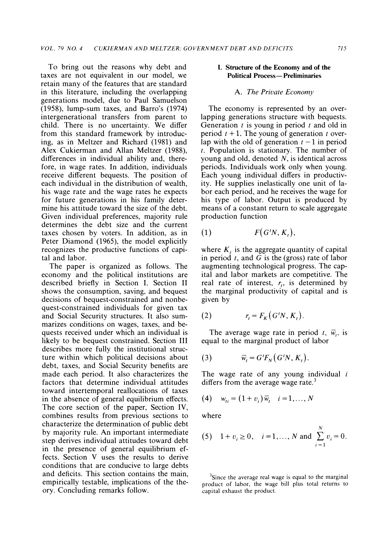**To bring out the reasons why debt and taxes are not equivalent in our model, we retain many of the features that are standard in this literature, including the overlapping generations model, due to Paul Samuelson (1958), lump-sum taxes, and Barro's (1974) intergenerational transfers from parent to child. There is no uncertainty. We differ from this standard framework by introducing, as in Meltzer and Richard (1981) and Alex Cukierman and Allan Meltzer (1988), differences in individual ability and, therefore, in wage rates. In addition, individuals receive different bequests. The position of each individual in the distribution of wealth, his wage rate and the wage rates he expects for future generations in his family determine his attitude toward the size of the debt. Given individual preferences, majority rule determines the debt size and the current taxes chosen by voters. In addition, as in Peter Diamond (1965), the model explicitly recognizes the productive functions of capital and labor.** 

**The paper is organized as follows. The economy and the political institutions are described briefly in Section I. Section II shows the consumption, saving, and bequest decisions of bequest-constrained and nonbequest-constrained individuals for given tax and Social Security structures. It also summarizes conditions on wages, taxes, and bequests received under which an individual is likely to be bequest constrained. Section III describes more fully the institutional structure within which political decisions about debt, taxes, and Social Security benefits are made each period. It also characterizes the factors that determine individual attitudes toward intertemporal reallocations of taxes in the absence of general equilibrium effects. The core section of the paper, Section IV, combines results from previous sections to characterize the determination of public debt by majority rule. An important intermediate step derives individual attitudes toward debt in the presence of general equilibrium effects. Section V uses the results to derive conditions that are conducive to large debts and deficits. This section contains the main, empirically testable, implications of the theory. Concluding remarks follow.** 

#### **I. Structure of the Economy and of the Political Process-Preliminaries**

#### **A. The Private Economy**

**The economy is represented by an overlapping generations structure with bequests.**  Generation *t* is young in period *t* and old in period  $t + 1$ . The young of generation t overlap with the old of generation  $t - 1$  in period **t. Population is stationary. The number of young and old, denoted N, is identical across periods. Individuals work only when young. Each young individual differs in productivity. He supplies inelastically one unit of labor each period, and he receives the wage for his type of labor. Output is produced by means of a constant return to scale aggregate production function** 

$$
(1) \tF(G'N, K_t),
$$

**where K, is the aggregate quantity of capital in period t, and G is the (gross) rate of labor augmenting technological progress. The capital and labor markets are competitive. The**  real rate of interest,  $r_t$ , is determined by **the marginal productivity of capital and is given by** 

$$
(2) \t\t r_t = F_K(G'N, K_t).
$$

The average wage rate in period  $t$ ,  $\overline{w}_t$ , is **equal to the marginal product of labor** 

$$
(3) \qquad \overline{w}_t = G'F_N(G'N, K_t).
$$

**The wage rate of any young individual i differs from the average wage rate.3** 

$$
(4) \t w_{ti} = (1 + v_i) \overline{w}_t \quad i = 1, \dots, N
$$

**where** 

(5) 
$$
1 + v_i \ge 0
$$
,  $i = 1,..., N$  and  $\sum_{i=1}^{N} v_i = 0$ .

**3Since the average real wage is equal to the marginal product of labor, the wage bill plus total returns to capital exhaust the product.**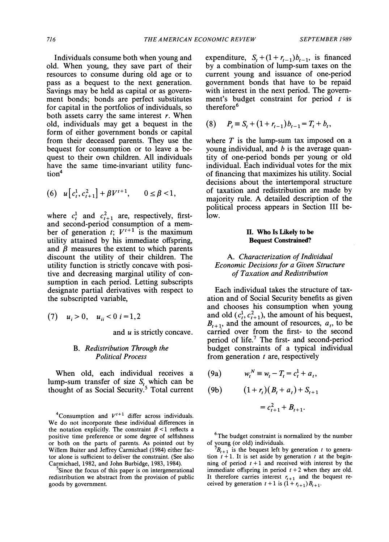**Individuals consume both when young and old. When young, they save part of their resources to consume during old age or to pass as a bequest to the next generation. Savings may be held as capital or as government bonds; bonds are perfect substitutes for capital in the portfolios of individuals, so both assets carry the same interest r. When old, individuals may get a bequest in the form of either government bonds or capital from their deceased parents. They use the bequest for consumption or to leave a bequest to their own children. All individuals have the same time-invariant utility function4** 

$$
(6) \quad u\big[c_t^1, c_{t+1}^2\big] + \beta V^{t+1}, \qquad 0 \le \beta < 1,
$$

where  $c_t^1$  and  $c_{t+1}^2$  are, respectively, first**and second-period consumption of a mem**ber of generation  $t$ ;  $V^{t+1}$  is the maximum **utility attained by his immediate offspring,**  and  $\beta$  measures the extent to which parents **discount the utility of their children. The utility function is strictly concave with positive and decreasing marginal utility of consumption in each period. Letting subscripts designate partial derivatives with respect to the subscripted variable,** 

(7) 
$$
u_i > 0
$$
,  $u_{ii} < 0$   $i = 1, 2$ 

**and u is strictly concave.** 

#### **B. Redistribution Through the Political Process**

**When old, each individual receives a**  lump-sum transfer of size  $S_t$  which can be **thought of as Social Security.5 Total current** 

**5Since the focus of this paper is on intergenerational redistribution we abstract from the provision of public goods by government.** 

expenditure,  $S_t + (1 + r_{t-1})b_{t-1}$ , is financed **by a combination of lump-sum taxes on the current young and issuance of one-period government bonds that have to be repaid with interest in the next period. The government's budget constraint for period t is therefore6** 

$$
(8) \t Pt \equiv St + (1 + rt-1)bt-1 = Tt + bt,
$$

**where T is the lump-sum tax imposed on a young individual, and b is the average quantity of one-period bonds per young or old individual. Each individual votes for the mix of financing that maximizes his utility. Social decisions about the intertemporal structure of taxation and redistribution are made by majority rule. A detailed description of the political process appears in Section III below.** 

#### **II. Who Is Likely to be Bequest Constrained?**

## **A. Characterization of Individual Economic Decisions for a Given Structure of Taxation and Redistribution**

**Each individual takes the structure of taxation and of Social Security benefits as given and chooses his consumption when young**  and old  $(c_t^1, c_{t+1}^2)$ , the amount of his bequest,  $B_{t+1}$ , and the amount of resources,  $a_t$ , to be **carried over from the first- to the second period of life.7 The first- and second-period budget constraints of a typical individual from generation t are, respectively** 

$$
(9a) \t w_t^N \equiv w_t - T_t = c_t^1 + a_t,
$$

(9b) 
$$
(1 + r_t)(B_t + a_t) + S_{t+1}
$$

$$
= c_{t+1}^2 + B_{t+1}.
$$

**6The budget constraint is normalized by the number of young (or old) individuals.** 

 ${}^{7}B_{t+1}$  is the bequest left by generation t to generation  $t + 1$ . It is set aside by generation t at the beginning of period  $t + 1$  and received with interest by the immediate offspring in period  $t + 2$  when they are old. It therefore carries interest  $r_{t+1}$  and the bequest received by generation  $t + 1$  is  $(1 + r_{t+1})B_{t+1}$ .

<sup>&</sup>lt;sup>4</sup> Consumption and  $V^{t+1}$  differ across individuals. **We do not incorporate these individual differences in**  the notation explicitly. The constraint  $\beta$  <1 reflects a **positive time preference or some degree of selfishness or both on the parts of parents. As pointed out by Willem Buiter and Jeffrey Carmichael (1984) either factor alone is sufficient to deliver the constraint. (See also Carmichael, 1982, and John Burbidge, 1983, 1984).**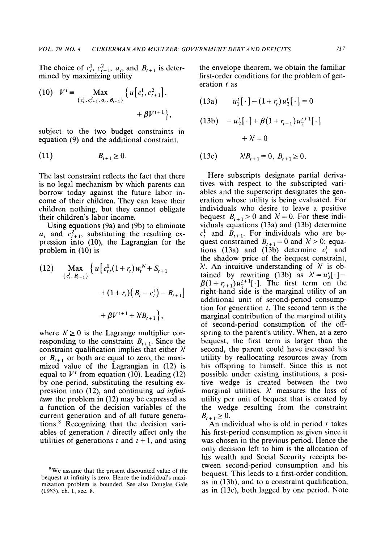The choice of  $c_t^1$ ,  $c_{t+1}^2$ ,  $a_t$ , and  $B_{t+1}$  is deter**mined by maximizing utility** 

(10) 
$$
V' \equiv \max_{\{c_t^1, c_{t+1}^2, a_t, B_{t+1}\}} \left\{ u \left[ c_t^1, c_{t+1}^2 \right], + \beta V^{t+1} \right\},\
$$

**subject to the two budget constraints in equation (9) and the additional constraint,** 

$$
(11) \t B_{t+1} \geq 0.
$$

**The last constraint reflects the fact that there is no legal mechanism by which parents can borrow today against the future labor income of their children. They can leave their children nothing, but they cannot obligate their children's labor income.** 

**Using equations (9a) and (9b) to eliminate**   $a_t$  and  $c_{t+1}^2$ , substituting the resulting ex**pression into (10), the Lagrangian for the problem in (10) is** 

(12) Max 
$$
\{u[c_t^1, (1 + r_t) w_t^N + S_{t+1}\]
$$
  
  $+ (1 + r_t) (B_t - c_t^1) - B_{t+1}]$   
  $+ \beta V^{t+1} + \lambda^t B_{t+1} \},$ 

where  $\lambda' \geq 0$  is the Lagrange multiplier corresponding to the constraint  $B_{t+1}$ . Since the constraint qualification implies that either  $\lambda'$ or  $B_{t+1}$  or both are equal to zero, the maxi**mized value of the Lagrangian in (12) is**  equal to  $V^t$  from equation (10). Leading (12) **by one period, substituting the resulting expression into (12), and continuing ad infinitum the problem in (12) may be expressed as a function of the decision variables of the current generation and of all future generations.8 Recognizing that the decision variables of generation t directly affect only the**  utilities of generations t and  $t + 1$ , and using **the envelope theorem, we obtain the familiar first-order conditions for the problem of generation t as** 

(13a) 
$$
u'_1[\cdot] - (1 + r_t)u'_2[\cdot] = 0
$$
  
\n(13b)  $-u'_2[\cdot] + \beta(1 + r_{t+1})u'_2^{t+1}[\cdot]$   
\n $+ \lambda' = 0$ 

(13c) 
$$
\lambda' B_{t+1} = 0, B_{t+1} \ge 0.
$$

**Here subscripts designate partial derivatives with respect to the subscripted variables and the superscript designates the generation whose utility is being evaluated. For individuals who desire to leave a positive**  bequest  $B_{t+1} > 0$  and  $\lambda' = 0$ . For these indi**viduals equations (13a) and (13b) determine**   $c_t^1$  and  $B_{t+1}$ . For individuals who are bequest constrained  $B_{t+1} = 0$  and  $\lambda' > 0$ ; equa**tions** (13a) and (13b) determine  $c_t^1$  and **the shadow price of the bequest constraint,**   $\lambda'$ . An intuitive understanding of  $\lambda'$  is obtained by rewriting (13b) as  $\lambda' = u_2'[\cdot]$  $\beta(1+r_{t+1})u_2^{t+1}[\cdot]$ . The first term on the **right-hand side is the marginal utility of an additional unit of second-period consumption for generation t. The second term is the marginal contribution of the marginal utility of second-period consumption of the offspring to the parent's utility. When, at a zero bequest, the first term is larger than the second, the parent could have increased his utility by reallocating resources away from his offspring to himself. Since this is not possible under existing institutions, a positive wedge is created between the two marginal utilities.**  $\lambda^t$  **measures** the loss of **utility per unit of bequest that is created by the wedge resulting from the constraint**   $B_{t+1} \geq 0.$ 

**An individual who is old in period t takes his first-period consumption as given since it was chosen in the previous period. Hence the only decision left to him is the allocation of his wealth and Social Security receipts between second-period consumption and his bequest. This leads to a first-order condition, as in (13b), and to a constraint qualification, as in (13c), both lagged by one period. Note** 

**<sup>8</sup>We assume that the present discounted value of the**  bequest at infinity is zero. Hence the individual's maxi**mization problem is bounded. See also Douglas Gale (1983), ch. 1, sec. 8.**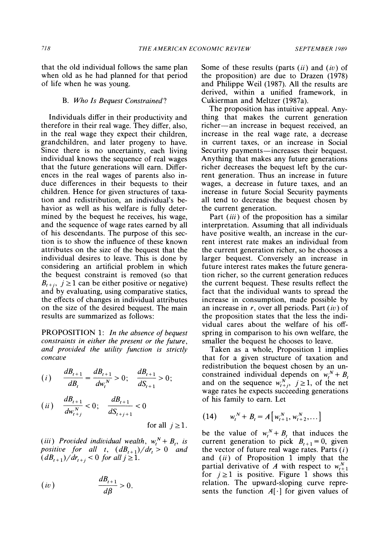**that the old individual follows the same plan when old as he had planned for that period of life when he was young.** 

#### **B. Who Is Bequest Constrained?**

**Individuals differ in their productivity and therefore in their real wage. They differ, also, in the real wage they expect their children, grandchildren, and later progeny to have. Since there is no uncertainty, each living individual knows the sequence of real wages that the future generations will earn. Differences in the real wages of parents also induce differences in their bequests to their children. Hence for given structures of taxation and redistribution, an individual's behavior as well as his welfare is fully determined by the bequest he receives, his wage, and the sequence of wage rates earned by all of his descendants. The purpose of this section is to show the influence of these known attributes on the size of the bequest that the individual desires to leave. This is done by considering an artificial problem in which the bequest constraint is removed (so that**   $B_{t+j}$ ,  $j \ge 1$  can be either positive or negative) **and by evaluating, using comparative statics, the effects of changes in individual attributes on the size of the desired bequest. The main results are summarized as follows:** 

**PROPOSITION 1: In the absence of bequest constraints in either the present or the future, and provided the utility function is strictly concave** 

$$
(i) \qquad \frac{dB_{t+1}}{dB_t} = \frac{dB_{t+1}}{dw_t^N} > 0; \qquad \frac{dB_{t+1}}{dS_{t+1}} > 0;
$$

(ii) 
$$
\frac{dB_{t+1}}{dw_{t+j}^N} < 0; \quad \frac{dB_{t+1}}{dS_{t+j+1}} < 0
$$

for all  $j \geq 1$ .

(iii) Provided individual wealth,  $w_t^N + B_t$ , is **positive** for all **t**,  $(dB_{t+1})/dr_t > 0$  and  $(dB_{t+1})/dr_{t+i} < 0$  for all  $j \ge 1$ .

$$
(iv) \t\t \t\t \frac{dB_{t+1}}{d\beta} > 0.
$$

**Some of these results (parts (ii) and (iv) of the proposition) are due to Drazen (1978) and Philippe Weil (1987). All the results are derived, within a unified framework, in Cukierman and Meltzer (1987a).** 

**The proposition has intuitive appeal. Anything that makes the current generation richer-an increase in bequest received, an increase in the real wage rate, a decrease in current taxes, or an increase in Social**  Security payments—increases their bequest. **Anything that makes any future generations richer decreases the bequest left by the current generation. Thus an increase in future wages, a decrease in future taxes, and an increase in future Social Security payments all tend to decrease the bequest chosen by the current generation.** 

**Part (iii) of the proposition has a similar interpretation. Assuming that all individuals have positive wealth, an increase in the current interest rate makes an individual from the current generation richer, so he chooses a larger bequest. Conversely an increase in future interest rates makes the future generation richer, so the current generation reduces the current bequest. These results reflect the fact that the individual wants to spread the increase in consumption, made possible by an increase in r, over all periods. Part (iv) of the proposition states that the less the individual cares about the welfare of his offspring in comparison to his own welfare, the smaller the bequest he chooses to leave.** 

**Taken as a whole, Proposition 1 implies that for a given structure of taxation and redistribution the bequest chosen by an un**constrained individual depends on  $w_t^N + B_t$ and on the sequence  $w_{i+j}^N$ ,  $j \ge 1$ , of the net **wage rates he expects succeeding generations of his family to earn. Let** 

(14) 
$$
w_t^N + B_t = A \big[ w_{t+1}^N, w_{t+2}^N, \dots \big]
$$

be the value of  $w_i^N + B_i$  that induces the current generation to pick  $B_{t+1} = 0$ , given **the vector of future real wage rates. Parts (i) and (ii) of Proposition 1 imply that the**  partial derivative of A with respect to  $w_{t+1}^N$ for  $j \geq 1$  is positive. Figure 1 shows this **relation. The upward-sloping curve repre**sents the function  $A[\cdot]$  for given values of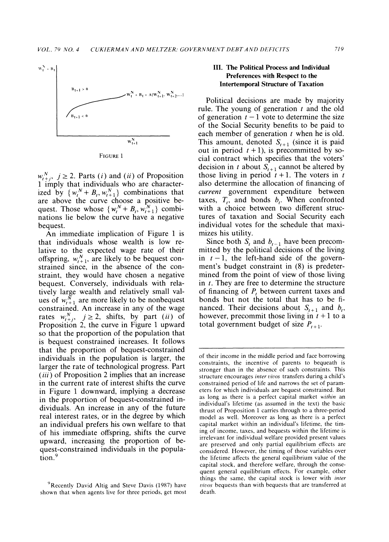



 $w_{i+j}^N$ ,  $j \ge 2$ . Parts (i) and (ii) of Proposition **1 imply that individuals who are character**ized by  $\{w_t^N + B_t, w_{t+1}^N\}$  combinations that **are above the curve choose a positive be**quest. Those whose  $\{w_t^N + B_t, w_{t+1}^N\}$  combi**nations lie below the curve have a negative bequest.** 

**An immediate implication of Figure 1 is that individuals whose wealth is low relative to the expected wage rate of their**  offspring,  $w_{t+1}^N$ , are likely to be bequest con**strained since, in the absence of the constraint, they would have chosen a negative bequest. Conversely, individuals with relatively large wealth and relatively small val**ues of  $w_{t+1}^N$  are more likely to be nonbequest **constrained. An increase in any of the wage**  rates  $w_{i+j}^N$ ,  $j \ge 2$ , shifts, by part (*ii*) of **Proposition 2, the curve in Figure 1 upward so that the proportion of the population that is bequest constrained increases. It follows that the proportion of bequest-constrained individuals in the population is larger, the larger the rate of technological progress. Part (iii) of Proposition 2 implies that an increase in the current rate of interest shifts the curve in Figure 1 downward, implying a decrease in the proportion of bequest-constrained individuals. An increase in any of the future real interest rates, or in the degree by which an individual prefers his own welfare to that of his immediate offspring, shifts the curve upward, increasing the proportion of bequest-constrained individuals in the population.** 

#### **II. The Political Process and Individual Preferences with Respect to the Intertemporal Structure of Taxation**

**Political decisions are made by majority rule. The young of generation t and the old**  of generation  $t - 1$  vote to determine the size **of the Social Security benefits to be paid to each member of generation t when he is old.**  This amount, denoted  $S_{t+1}$  (since it is paid out in period  $t + 1$ ), is precommitted by so**cial contract which specifies that the voters' decision in** *t* **about**  $S_{t+1}$  **cannot be altered by** those living in period  $t + 1$ . The voters in  $t$ **also determine the allocation of financing of current government expenditure between**  taxes,  $T_t$ , and bonds  $b_t$ . When confronted **with a choice between two different structures of taxation and Social Security each individual votes for the schedule that maximizes his utility.** 

Since both  $\overline{S}_t$  and  $b_{t-1}$  have been precom**mitted by the political decisions of the living**  in  $t-1$ , the left-hand side of the govern**ment's budget constraint in (8) is predetermined from the point of view of those living in t. They are free to determine the structure of financing of P, between current taxes and bonds but not the total that has to be fi**nanced. Their decisions about  $S_{t+1}$  and  $b_t$ , however, precommit those living in  $t + 1$  to a total government budget of size  $P_{t+1}$ .

**<sup>9</sup>Recently David Altig and Steve Davis (1987) have shown that when agents live for three periods, get most** 

**of their income in the middle period and face borrowing constraints, the incentive of parents to bequeath is stronger than in the absence of such constraints. This structure encourages inter vivos transfers during a child's constrained period of life and narrows the set of parameters for which individuals are bequest constrained. But as long as there is a perfect capital market within an individual's lifetime (as assumed in the text) the basic thrust of Proposition 1 carries through to a three-period model as well. Moreover as long as there is a perfect capital market within an individual's lifetime, the timing of income, taxes, and bequests within the lifetime is irrelevant for individual welfare provided present values are preserved and only partial equilibrium effects are considered. However, the timing of those variables over the lifetime affects the general equilibrium value of the capital stock, and therefore welfare, through the consequent general equilibrium effects. For example, other things the same, the capital stock is lower with inter Liivos bequests than with bequests that are transferred at death.**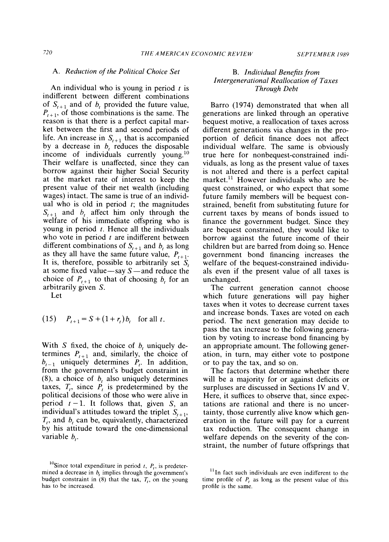#### **A. Reduction of the Political Choice Set**

**An individual who is young in period t is indifferent between different combinations**  of  $S_{t+1}$  and of  $b_t$  provided the future value,  $P_{t+1}$ , of those combinations is the same. The **reason is that there is a perfect capital market between the first and second periods of**  life. An increase in  $S_{t+1}$  that is accompanied by a decrease in  $b_t$  reduces the disposable **income of individuals currently young.'0 Their welfare is unaffected, since they can borrow against their higher Social Security at the market rate of interest to keep the present value of their net wealth (including wages) intact. The same is true of an individual who is old in period t; the magnitudes**   $S_{t+1}$  and  $b_t$  affect him only through the **welfare of his immediate offspring who is young in period t. Hence all the individuals who vote in period t are indifferent between**  different combinations of  $S_{t+1}$  and  $b_t$  as long as they all have the same future value,  $P_{t+1}$ . It is, therefore, possible to arbitrarily set  $S_t$ **at some fixed value-say S-and reduce the**  choice of  $P_{t+1}$  to that of choosing  $b_t$ , for an **arbitrarily given S.** 

**Let** 

(15) 
$$
P_{t+1} = S + (1 + r_t) b_t
$$
 for all t.

With S fixed, the choice of  $b_t$  uniquely determines  $P_{t+1}$  and, similarly, the choice of  $b_{t-1}$  uniquely determines  $P_t$ . In addition, **from the government's budget constraint in**  (8), a choice of  $b_t$  also uniquely determines taxes,  $T_t$ , since  $P_t$  is predetermined by the **political decisions of those who were alive in**  period  $t - 1$ . It follows that, given S, an individual's attitudes toward the triplet  $S_{t+1}$ ,  $T_t$ , and  $b_t$  can be, equivalently, characterized **by his attitude toward the one-dimensional variable** *b*<sub>*r*</sub>.

#### **B. Individual Benefits from Intergenerational Reallocation of Taxes Through Debt**

**Barro (1974) demonstrated that when all generations are linked through an operative bequest motive, a reallocation of taxes across different generations via changes in the proportion of deficit finance does not affect individual welfare. The same is obviously true here for nonbequest-constrained individuals, as long as the present value of taxes is not altered and there is a perfect capital**  market.<sup>11</sup> However individuals who are be**quest constrained, or who expect that some future family members will be bequest constrained, benefit from substituting future for current taxes by means of bonds issued to finance the government budget. Since they are bequest constrained, they would like to borrow against the future income of their children but are barred from doing so. Hence government bond financing increases the welfare of the bequest-constrained individuals even if the present value of all taxes is unchanged.** 

**The current generation cannot choose which future generations will pay higher taxes when it votes to decrease current taxes and increase bonds. Taxes are voted on each period. The next generation may decide to pass the tax increase to the following generation by voting to increase bond financing by an appropriate amount. The following generation, in turn, may either vote to postpone or to pay the tax, and so on.** 

**The factors that determine whether there will be a majority for or against deficits or surpluses are discussed in Sections IV and V. Here, it suffices to observe that, since expectations are rational and there is no uncertainty, those currently alive know which generation in the future will pay for a current tax reduction. The consequent change in welfare depends on the severity of the constraint, the number of future offsprings that** 

<sup>&</sup>lt;sup>10</sup>Since total expenditure in period  $t$ ,  $P_t$ , is predeter**mined a decrease in b, implies through the government's budget constraint in (8) that the tax, T, on the young has to be increased.** 

**<sup>&</sup>quot;lIn fact such individuals are even indifferent to the**  time profile of  $P_t$  as long as the present value of this **profile is the same.**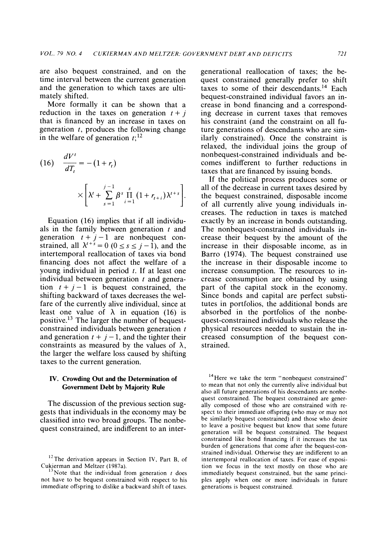**are also bequest constrained, and on the time interval between the current generation and the generation to which taxes are ultimately shifted.** 

**More formally it can be shown that a**  reduction in the taxes on generation  $t + j$ **that is financed by an increase in taxes on generation t, produces the following change**  in the welfare of generation  $t$ ;<sup>12</sup>

(16) 
$$
\frac{dV'}{dT_t} = -(1 + r_t) \times \left[ \lambda' + \sum_{s=1}^{j-1} \beta^s \prod_{i=1}^s (1 + r_{t+i}) \lambda'^{s} \right]
$$

**Equation (16) implies that if all individuals in the family between generation t and**  generation  $t + j - 1$  are nonbequest constrained, all  $\lambda^{t+s} = 0$  ( $0 \le s \le j-1$ ), and the **intertemporal reallocation of taxes via bond financing does not affect the welfare of a young individual in period t. If at least one individual between generation t and genera** $t + j - 1$  is bequest constrained, the **shifting backward of taxes decreases the welfare of the currently alive individual, since at**  least one value of  $\lambda$  in equation (16) is **positive.13 The larger the number of bequestconstrained individuals between generation t**  and generation  $t + j - 1$ , and the tighter their constraints as measured by the values of  $\lambda$ , **the larger the welfare loss caused by shifting taxes to the current generation.** 

#### **IV. Crowding Out and the Determination of Government Debt by Majority Rule**

**The discussion of the previous section suggests that individuals in the economy may be classified into two broad groups. The nonbequest constrained, are indifferent to an inter-** **generational reallocation of taxes; the bequest constrained generally prefer to shift taxes to some of their descendants.'4 Each bequest-constrained individual favors an increase in bond financing and a corresponding decrease in current taxes that removes his constraint (and the constraint on all future generations of descendants who are similarly constrained). Once the constraint is relaxed, the individual joins the group of nonbequest-constrained individuals and becomes indifferent to further reductions in taxes that are financed by issuing bonds.** 

**If the political process produces some or all of the decrease in current taxes desired by the bequest constrained, disposable income of all currently alive young individuals increases. The reduction in taxes is matched exactly by an increase in bonds outstanding. The nonbequest-constrained individuals increase their bequest by the amount of the increase in their disposable income, as in Barro (1974). The bequest constrained use the increase in their disposable income to increase consumption. The resources to increase consumption are obtained by using part of the capital stock in the economy. Since bonds and capital are perfect substitutes in portfolios, the additional bonds are**  absorbed in the portfolios of the nonbe**quest-constrained individuals who release the physical resources needed to sustain the increased consumption of the bequest constrained.** 

**14Here we take the term "nonbequest constrained" to mean that not only the currently alive individual but also all future generations of his descendants are nonbequest constrained. The bequest constrained are generally composed of those who are constrained with respect to their immediate offspring (who may or may not be similarly bequest constrained) and those who desire to leave a positive bequest but know that some future generation will be bequest constrained. The bequest constrained like bond financing if it increases the tax burden of generations that come after the bequest-constrained individual. Otherwise they are indifferent to an intertemporal reallocation of taxes. For ease of exposition we focus in the text mostly on those who are immediately bequest constrained, but the same principles apply when one or more individuals in future generations is bequest constrained.** 

**<sup>12</sup>The derivation appears in Section IV, Part B, of Cukierman and Meltzer (1987a).** 

**<sup>13</sup>Note that the individual from generation t does not have to be bequest constrained with respect to his immediate offspring to dislike a backward shift of taxes.**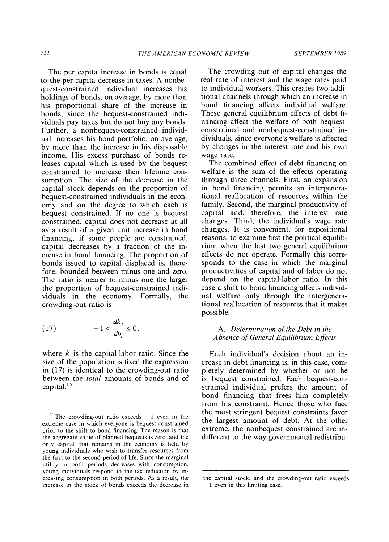**The per capita increase in bonds is equal to the per capita decrease in taxes. A nonbequest-constrained individual increases his holdings of bonds, on average, by more than his proportional share of the increase in bonds, since the bequest-constrained individuals pay taxes but do not buy any bonds. Further, a nonbequest-constrained individual increases his bond portfolio, on average, by more than the increase in his disposable income. His excess purchase of bonds releases capital which is used by the bequest constrained to increase their lifetime consumption. The size of the decrease in the capital stock depends on the proportion of bequest-constrained individuals in the economy and on the degree to which each is bequest constrained. If no one is bequest constrained, capital does not decrease at all as a result of a given unit increase in bond financing; if some people are constrained, capital decreases by a fraction of the increase in bond financing. The proportion of bonds issued to capital displaced is, therefore, bounded between minus one and zero. The ratio is nearer to minus one the larger the proportion of bequest-constrained individuals in the economy. Formally, the crowding-out ratio is** 

$$
(17) \t-1 < \frac{dk_t}{db_t} \le 0,
$$

**where k is the capital-labor ratio. Since the size of the population is fixed the expression in (17) is identical to the crowding-out ratio between the total amounts of bonds and of capital."5** 

**The crowding out of capital changes the real rate of interest and the wage rates paid to individual workers. This creates two additional channels through which an increase in bond financing affects individual welfare. These general equilibrium effects of debt financing affect the welfare of both bequestconstrained and nonbequest-constrained individuals, since everyone's welfare is affected by changes in the interest rate and his own wage rate.** 

**The combined effect of debt financing on welfare is the sum of the effects operating through three channels. First, an expansion in bond financing permits an intergenerational reallocation of resources within the family. Second, the marginal productivity of capital and, therefore, the interest rate changes. Third, the individual's wage rate changes. It is convenient, for expositional reasons, to examine first the political equilibrium when the last two general equilibrium effects do not operate. Formally this corresponds to the case in which the marginal productivities of capital and of labor do not depend on the capital-labor ratio. In this case a shift to bond financing affects individual welfare only through the intergenerational reallocation of resources that it makes possible.** 

## **A. Determination of the Debt in the Absence of General Equilibrium Effects**

**Each individual's decision about an increase in debt financing is, in this case, completely determined by whether or not he is bequest constrained. Each bequest-constrained individual prefers the amount of bond financing that frees him completely from his constraint. Hence those who face the most stringent bequest constraints favor the largest amount of debt. At the other extreme, the nonbequest constrained are indifferent to the way governmental redistribu-**

<sup>&</sup>lt;sup>15</sup>The crowding-out ratio exceeds  $-1$  even in the **extreme case in which everyone is bequest constrained prior to the shift to bond financing. The reason is that the aggregate value of planned bequests is zero, and the only capital that remains in the economy is held by young individuals who wish to transfer resources from the first to the second period of life. Since the marginal utility in both periods decreases with consumption, young individuals respond to the tax reduction by increasing consumption in both periods. As a result, the increase in the stock of bonds exceeds the decrease in** 

**the capital stock, and the crowding-out ratio exceeds - 1 even in this limiting case.**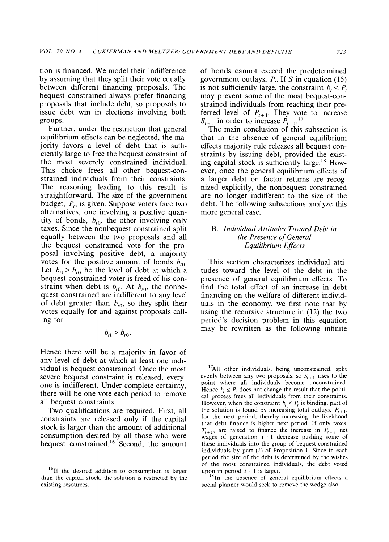**tion is financed. We model their indifference by assuming that they split their vote equally between different financing proposals. The bequest constrained always prefer financing proposals that include debt, so proposals to issue debt win in elections involving both groups.** 

**Further, under the restriction that general equilibrium effects can be neglected, the majority favors a level of debt that is sufficiently large to free the bequest constraint of the most severely constrained individual. This choice frees all other bequest-constrained individuals from their constraints. The reasoning leading to this result is straightforward. The size of the government**  budget,  $P_t$ , is given. Suppose voters face two **alternatives, one involving a positive quan**tity of bonds,  $b_{t0}$ , the other involving only **taxes. Since the nonbequest constrained split equally between the two proposals and all the bequest constrained vote for the proposal involving positive debt, a majority**  votes for the positive amount of bonds  $b_{r0}$ . Let  $b_{i} > b_{i}$  be the level of debt at which a **bequest-constrained voter is freed of his con**straint when debt is  $b_{i0}$ . At  $b_{i0}$ , the nonbe**quest constrained are indifferent to any level**  of debt greater than  $b_{t0}$ , so they split their **votes equally for and against proposals calling for** 

$$
b_{t1} > b_{t0}.
$$

**Hence there will be a majority in favor of any level of debt at which at least one individual is bequest constrained. Once the most severe bequest constraint is released, everyone is indifferent. Under complete certainty, there will be one vote each period to remove all bequest constraints.** 

**Two qualifications are required. First, all constraints are released only if the capital stock is larger than the amount of additional consumption desired by all those who were bequest constrained."6 Second, the amount**  **of bonds cannot exceed the predetermined**  government outlays,  $P_t$ . If S in equation (15) is not sufficiently large, the constraint  $b_t \leq P_t$ **may prevent some of the most bequest-constrained individuals from reaching their pre**ferred level of  $P_{t+1}$ . They vote to increase  $S_{t+1}$  in order to increase  $P_{t+1}$ <sup>17</sup>

**The main conclusion of this subsection is that in the absence of general equilibrium effects majority rule releases all bequest constraints by issuing debt, provided the existing capital stock is sufficiently large.'8 However, once the general equilibrium effects of a larger debt on factor returns are recognized explicitly, the nonbequest constrained are no longer indifferent to the size of the debt. The following subsections analyze this more general case.** 

## **B. Individual Attitudes Toward Debt in the Presence of General Equilibrium Effects**

**This section characterizes individual attitudes toward the level of the debt in the presence of general equilibrium effects. To find the total effect of an increase in debt financing on the welfare of different individuals in the economy, we first note that by using the recursive structure in (12) the two period's decision problem in this equation may be rewritten as the following infinite** 

**18In the absence of general equilibrium effects a social planner would seek to remove the wedge also.** 

**<sup>16</sup>If the desired addition to consumption is larger than the capital stock, the solution is restricted by the existing resources.** 

**<sup>&#</sup>x27;All other individuals, being unconstrained, split**  evenly between any two proposals, so  $S_{t+1}$  rises to the **point where all individuals become unconstrained.**  Hence  $b_t \leq P_t$  does not change the result that the politi**cal process frees all individuals from their constraints.**  However, when the constraint  $b_t \leq P_t$  is binding, part of the solution is found by increasing total outlays,  $P_{t+1}$ , **for the next period, thereby increasing the likelihood that debt finance is higher next period. If only taxes,**   $T_{t+1}$ , are raised to finance the increase in  $P_{t+1}$  net wages of generation  $t + 1$  decrease pushing some of **these individuals into the group of bequest-constrained individuals by part (i) of Proposition 1. Since in each period the size of the debt is determined by the wishes of the most constrained individuals, the debt voted**  upon in period  $t + 1$  is larger.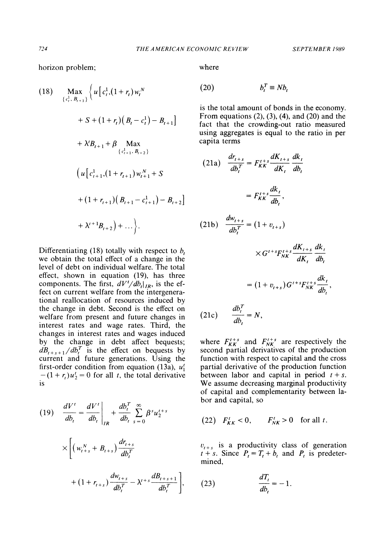**horizon problem;** 

(18) Max  
\n
$$
\begin{aligned}\n&\left\{\begin{aligned}\nu\left[c_{t}^{1},(1+r_{t})w_{t}^{N}\right.\right.\\
&+ S + (1+r_{t})(B_{t}-c_{t}^{1}) - B_{t+1}\right] \\
&+ \lambda^{t}B_{t+1} + \beta \max_{\left\{c_{t+1}^{1},B_{t+2}\right\}}\\
&\left(u\left[c_{t+1}^{1},(1+r_{t+1})w_{t+1}^{N} + S\right.\right.\\
&\left. + (1+r_{t+1})(B_{t+1}-c_{t+1}^{1}) - B_{t+2}\right] \\
&+ \lambda^{t+1}B_{t+2}\right) + \dots\big\}.\n\end{aligned}
$$

Differentiating  $(18)$  totally with respect to  $b_t$ **we obtain the total effect of a change in the level of debt on individual welfare. The total effect, shown in equation (19), has three**  components. The first,  $dV'/db_t|_{IR}$ , is the ef**fect on current welfare from the intergenerational reallocation of resources induced by the change in debt. Second is the effect on welfare from present and future changes in interest rates and wage rates. Third, the changes in interest rates and wages induced by the change in debt affect bequests;**   $dB_{t+s+1}$  / $db_t^T$  is the effect on bequests by **current and future generations. Using the first-order condition from equation (13a), u{**   $-(1 + r_t)u_2^t = 0$  for all t, the total derivative **is** 

(19) 
$$
\frac{dV'}{db_t} = \frac{dV'}{db_t}\Big|_{IR} + \frac{db_t^T}{db_t} \sum_{s=0}^{\infty} \beta^s u_2^{t+s}
$$
\n
$$
\times \left[ \left( w_{t+s}^N + B_{t+s} \right) \frac{dr_{t+s}}{db_t^T} + \left( 1 + r_{t+s} \right) \frac{dw_{t+s}}{db_t^T} + \left( 1 + r_{t+s} \right) \frac{dw_{t+s}}{db_t^T} - \lambda^{t+s} \frac{dB_{t+s+1}}{db_t^T} \right], \qquad (23)
$$

**where** 

$$
(20) \t\t b_t^T \equiv N b_t
$$

**is the total amount of bonds in the economy. From equations (2), (3), (4), and (20) and the fact that the crowding-out ratio measured using aggregates is equal to the ratio in per capita terms** 

(21a) 
$$
\frac{dr_{t+s}}{db_t^T} = F_{KK}^{t+s} \frac{dK_{t+s}}{dK_t} \frac{dk_t}{db_t}
$$

$$
= F_{KK}^{t+s} \frac{dk_t}{db_t},
$$

$$
(21b) \frac{dw_{t+s}}{db_t^T} = (1 + v_{t+s})
$$

$$
\times G^{t+s} F_{NK}^{t+s} \frac{dK_{t+s}}{dK_t} \frac{dk_t}{db_t}
$$

$$
= (1 + v_{t+s}) G^{t+s} F_{NK}^{t+s} \frac{dk_t}{db_t},
$$

$$
(21c) \frac{db_t^T}{db_t} = N,
$$

where  $F_{KK}^{t+s}$  and  $F_{NK}^{t+s}$ <br>second partial derivativ **are respectively the second partial derivatives of the production function with respect to capital and the cross partial derivative of the production function between labor and capital in period**  $t + s$ **. We assume decreasing marginal productivity of capital and complementarity between labor and capital, so** 

$$
(22) \quad F_{KK}^t < 0, \qquad F_{NK}^t > 0 \quad \text{for all } t.
$$

 $v_{t+s}$  is a productivity class of generation  $t + s$ . Since  $P_t = T_t + b_t$  and  $P_t$  is predeter**mined,** 

$$
(23) \t\t \t\t \frac{dT_t}{db_t} = -1.
$$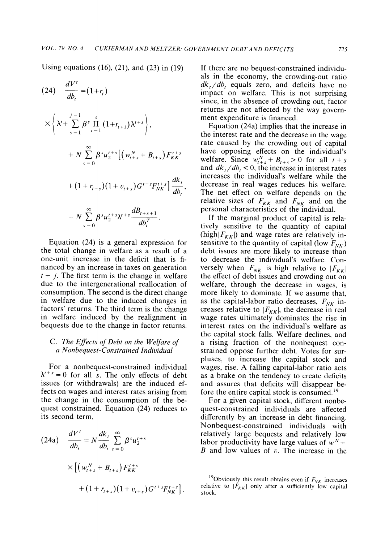**Using equations (16), (21), and (23) in (19)** 

$$
(24) \frac{dV^{t}}{db_{t}} = (1+r_{t})
$$
  
\n
$$
\times \left\{ \lambda^{t} + \sum_{s=1}^{j-1} \beta^{s} \prod_{i=1}^{s} (1+r_{t+i}) \lambda^{t+s} \right\},
$$
  
\n
$$
+ N \sum_{s=0}^{\infty} \beta^{s} u_{2}^{t+s} \left[ \left( w_{t+s}^{N} + B_{t+s} \right) F_{KK}^{t+s} \right]
$$
  
\n
$$
+ (1+r_{t+s})(1+v_{t+s}) G^{t+s} F_{NK}^{t+s} \left\{ \frac{dk_{t}}{db_{t}},
$$
  
\n
$$
- N \sum_{s=0}^{\infty} \beta^{s} u_{2}^{t+s} \lambda^{t+s} \frac{dB_{t+s+1}}{db_{t}^{T}}.
$$

**Equation (24) is a general expression for the total change in welfare as a result of a one-unit increase in the deficit that is financed by an increase in taxes on generation t + j. The first term is the change in welfare due to the intergenerational reallocation of consumption. The second is the direct change in welfare due to the induced changes in factors' returns. The third term is the change in welfare induced by the realignment in bequests due to the change in factor returns.** 

## **C. The Effects of Debt on the Welfare of a Nonbequest-Constrained Individual**

**For a nonbequest-constrained individual**   $\lambda^{t+s} = 0$  for all s. The only effects of debt **issues (or withdrawals) are the induced effects on wages and interest rates arising from the change in the consumption of the bequest constrained. Equation (24) reduces to its second term,** 

(24a) 
$$
\frac{dV^t}{db_t} = N \frac{dk_t}{db_t} \sum_{s=0}^{\infty} \beta^s u_2^{t+s}
$$

$$
\times \left[ \left( w_{t+s}^N + B_{t+s} \right) F_{KK}^{t+s} + (1 + r_{t+s})(1 + v_{t+s}) G^{t+s} F_{KK}^{t+s} \right].
$$

**If there are no bequest-constrained individuals in the economy, the crowding-out ratio**   $dk_t/db_t$  equals zero, and deficits have no **impact on welfare. This is not surprising since, in the absence of crowding out, factor returns are not affected by the way government expenditure is financed.** 

**Equation (24a) implies that the increase in the interest rate and the decrease in the wage rate caused by the crowding out of capital have opposing effects on the individual's**  welfare. Since  $w_{t+s}^N + B_{t+s} > 0$  for all  $t+s$ and  $dk_t/db_t < 0$ , the increase in interest rates **increases the individual's welfare while the decrease in real wages reduces his welfare. The net effect on welfare depends on the**  relative sizes of  $F_{KK}$  and  $F_{NK}$  and on the **personal characteristics of the individual.** 

**If the marginal product of capital is relatively sensitive to the quantity of capital**   $(high|F_{KK})$  and wage rates are relatively insensitive to the quantity of capital (low  $F_{NK}$ ) **debt issues are more likely to increase than to decrease the individual's welfare. Con**versely when  $F_{NK}$  is high relative to  $|F_{KK}|$ **the effect of debt issues and crowding out on welfare, through the decrease in wages, is more likely to dominate. If we assume that,**  as the capital-labor ratio decreases,  $F_{NK}$  increases relative to  $|F_{KK}|$ , the decrease in real **wage rates ultimately dominates the rise in interest rates on the individual's welfare as the capital stock falls. Welfare declines, and a rising fraction of the nonbequest constrained oppose further debt. Votes for surpluses, to increase the capital stock and wages, rise. A falling capital-labor ratio acts as a brake on the tendency to create deficits and assures that deficits will disappear before the entire capital stock is consumed.'9** 

**For a given capital stock, different nonbequest-constrained individuals are affected differently by an increase in debt financing. Nonbequest-constrained individuals with relatively large bequests and relatively low**  labor productivity have large values of  $w<sup>N</sup>$  + **B and low values of v. The increase in the** 

<sup>&</sup>lt;sup>19</sup>**Obviously this result obtains even if**  $F_{NK}$  **increases relative to**  $|F_{KK}|$  **only after a sufficiently low capital stock.**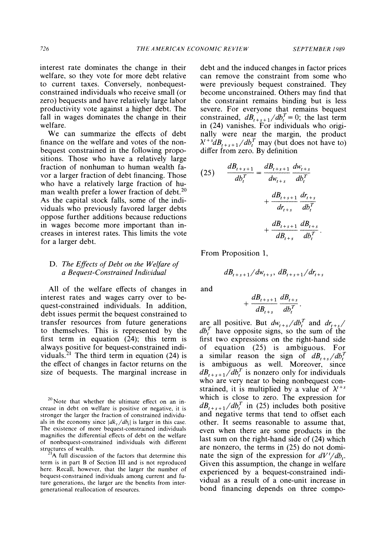**interest rate dominates the change in their welfare, so they vote for more debt relative to current taxes. Conversely, nonbequestconstrained individuals who receive small (or zero) bequests and have relatively large labor productivity vote against a higher debt. The fall in wages dominates the change in their welfare.** 

**We can summarize the effects of debt finance on the welfare and votes of the nonbequest constrained in the following propositions. Those who have a relatively large fraction of nonhuman to human wealth favor a larger fraction of debt financing. Those who have a relatively large fraction of human wealth prefer a lower fraction of debt.20 As the capital stock falls, some of the individuals who previously favored larger debts oppose further additions because reductions in wages become more important than increases in interest rates. This limits the vote for a larger debt.** 

## **D. The Effects of Debt on the Welfare of a Bequest-Constrained Individual**

**All of the welfare effects of changes in interest rates and wages carry over to bequest-constrained individuals. In addition, debt issues permit the bequest constrained to transfer resources from future generations to themselves. This is represented by the first term in equation (24); this term is always positive for bequest-constrained individuals.21 The third term in equation (24) is the effect of changes in factor returns on the size of bequests. The marginal increase in** 

**debt and the induced changes in factor prices can remove the constraint from some who were previously bequest constrained. They become unconstrained. Others may find that the constraint remains binding but is less severe. For everyone that remains bequest**  constrained,  $dB_{t+\underline{s}+1}/db_t^T = 0$ ; the last term **in (24) vanishes. For individuals who originally were near the margin, the product**   $\lambda^{t+s}dB_{t+s+1}/db_t^T$  may (but does not have to) **differ from zero. By definition** 

(25) 
$$
\frac{dB_{t+s+1}}{db_t^T} = \frac{dB_{t+s+1}}{dw_{t+s}} \frac{dw_{t+s}}{db_t^T} + \frac{dB_{t+s+1}}{dr_{t+s}} \frac{dr_{t+s}}{db_t^T} + \frac{dB_{t+s+1}}{db_{t+s}} \frac{dB_{t+s}}{db_t^T}
$$

**From Proposition 1,** 

$$
dB_{t+s+1}/dw_{t+s}, dB_{t+s+1}/dr_{t+s}
$$

**and** 

$$
+\frac{dB_{t+s+1}}{dB_{t+s}}\frac{dB_{t+s}}{db_t^T}.
$$

are all positive. But  $dw_{t+s}/db_t^T$  and  $dr_{t+s}/dt^T$  $db<sub>t</sub><sup>T</sup>$  have opposite signs, so the sum of the **first two expressions on the right-hand side of equation (25) is ambiguous. For a** similar reason the sign of  $dB_{t+s}/db_t^T$ **is ambiguous as well. Moreover, since**   $dB_{t+s+1}/db_t^T$  is nonzero only for individuals **who are very near to being nonbequest con**strained, it is multiplied by a value of  $\lambda^{t+s}$ **which is close to zero. The expression for**   $dB_{t+s+1}/db_t^T$  in (25) includes both positive **and negative terms that tend to offset each other. It seems reasonable to assume that, even when there are some products in the last sum on the right-hand side of (24) which are nonzero, the terms in (25) do not domi**nate the sign of the expression for  $dV'/db_t$ . **Given this assumption, the change in welfare experienced by a bequest-constrained individual as a result of a one-unit increase in bond financing depends on three compo-**

**<sup>20</sup>Note that whether the ultimate effect on an increase in debt on welfare is positive or negative, it is stronger the larger the fraction of constrained individu**als in the economy since  $|dk_{t}/db_{t}|$  is larger in this case. **The existence of more bequest-constrained individuals magnifies the differential effects of debt on the welfare of nonbequest-constrained individuals with different structures of wealth.** 

**<sup>21</sup>A full discussion of the factors that determine this term is in part B of Section III and is not reproduced here. Recall, however, that the larger the number of bequest-constrained individuals among current and future generations, the larger are the benefits from intergenerational reallocation of resources.**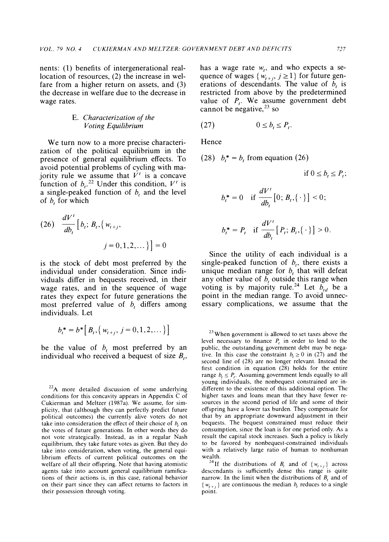**nents: (1) benefits of intergenerational reallocation of resources, (2) the increase in welfare from a higher return on assets, and (3) the decrease in welfare due to the decrease in wage rates.** 

#### **E. Characterization of the Voting Equilibrium**

**We turn now to a more precise characterization of the political equilibrium in the presence of general equilibrium effects. To avoid potential problems of cycling with ma**jority rule we assume that  $V^t$  is a concave function of  $b_t$ .<sup>22</sup> Under this condition,  $V^t$  is a single-peaked function of  $b<sub>t</sub>$  and the level of  $b<sub>t</sub>$  for which

(26) 
$$
\frac{dV'}{db_t} [b_t; B_t, \{w_{t+j},
$$

$$
j = 0, 1, 2, ... \}] = 0
$$

**is the stock of debt most preferred by the individual under consideration. Since individuals differ in bequests received, in their wage rates, and in the sequence of wage rates they expect for future generations the**  most preferred value of b, differs among **individuals. Let** 

$$
b_t^* = b^* [B_t, \{w_{t+j}, j = 0, 1, 2, \dots\}]
$$

be the value of  $b_t$  most preferred by an individual who received a bequest of size  $B_t$ ,

has a wage rate  $w_r$ , and who expects a sequence of wages  $\{w_{t+j}, j \ge 1\}$  for future generations of descendants. The value of  $b<sub>t</sub>$  is **restricted from above by the predetermined**  value of  $P_t$ . We assume government debt **cannot be negative,23 so** 

$$
(27) \t\t 0 \le b_t \le P_t.
$$

**Hence** 

(28) 
$$
b_t^* = b_t
$$
 from equation (26)

$$
\text{if } 0 \le b_t \le P_t
$$
\n
$$
b_t^* = 0 \quad \text{if } \frac{dV^t}{db_t} [0; B_t, \{\cdot\}] < 0;
$$
\n
$$
b_t^* = P_t \quad \text{if } \frac{dV^t}{db_t} [P_t; B_t, \{\cdot\}] > 0.
$$

**Since the utility of each individual is a**  single-peaked function of  $b_t$ , there exists a unique median range for  $b_t$  that will defeat any other value of *b*, outside this range when voting is by majority rule.<sup>24</sup> Let  $\overline{b}_{td}$  be a **point in the median range. To avoid unnecessary complications, we assume that the** 

**23When government is allowed to set taxes above the**  level necessary to finance  $P_t$  in order to lend to the **public, the outstanding government debt may be nega**tive. In this case the constraint  $b_i \geq 0$  in (27) and the **second line of (28) are no longer relevant. Instead the first condition in equation (28) holds for the entire**  range  $b_t \leq P_t$ . Assuming government lends equally to all **young individuals, the nonbequest constrained are indifferent to the existence of this additional option. The higher taxes and loans mean that they have fewer resources in the second period of life and some of their offspring have a lower tax burden. They compensate for that by an appropriate downward adjustment in their bequests. The bequest constrained must reduce their consumption, since the loan is for one period only. As a result the capital stock increases. Such a policy is likely to be favored by nonbequest-constrained individuals with a relatively large ratio of human to nonhuman wealth.** 

<sup>24</sup>**If** the distributions of  $B_t$  and of  $\{w_{t+1}\}\$  across **descendants is sufficiently dense this range is quite**  narrow. In the limit when the distributions of  $B_t$  and of  $\{w_{t+j}\}\$ are continuous the median  $b_t$  reduces to a single **point.** 

**<sup>22</sup>A more detailed discussion of some underlying conditions for this concavity appears in Appendix C of Cukierman and Meltzer (1987a). We assume, for simplicity, that (although they can perfectly predict future political outcomes) the currently alive voters do not take into consideration the effect of their choice of b, on the votes of future generations. In other words they do not vote strategically. Instead, as in a regular Nash equilibrium, they take future votes as given. But they do take into consideration, when voting, the general equilibrium effects of current political outcomes on the welfare of all their offspring. Note that having atomistic agents take into account general equilibrium ramifications of their actions is, in this case, rational behavior on their part since they can affect returns to factors in their possession through voting.**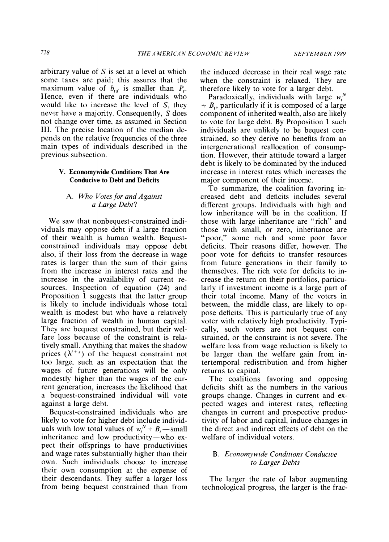**arbitrary value of S is set at a level at which some taxes are paid; this assures that the maximum** value of  $b_{td}$  is smaller than  $P_t$ . **Hence, even if there are individuals who would like to increase the level of S, they never have a majority. Consequently, S does not change over time, as assumed in Section III. The precise location of the median depends on the relative frequencies of the three main types of individuals described in the previous subsection.** 

#### **V. Economywide Conditions That Are Conducive to Debt and Deficits**

## **A. Who Votes for and Against a Large Debt?**

**We saw that nonbequest-constrained individuals may oppose debt if a large fraction of their wealth is human wealth. Bequestconstrained individuals may oppose debt also, if their loss from the decrease in wage rates is larger than the sum of their gains from the increase in interest rates and the increase in the availability of current resources. Inspection of equation (24) and Proposition 1 suggests that the latter group is likely to include individuals whose total wealth is modest but who have a relatively large fraction of wealth in human capital. They are bequest constrained, but their welfare loss because of the constraint is relatively small. Anything that makes the shadow**  prices  $(\lambda^{t+s})$  of the bequest constraint not **too large, such as an expectation that the wages of future generations will be only modestly higher than the wages of the current generation, increases the likelihood that a bequest-constrained individual will vote against a large debt.** 

**Bequest-constrained individuals who are likely to vote for higher debt include individ**uals with low total values of  $w_t^N + B_t$ —small inheritance and low productivity-who ex**pect their offsprings to have productivities and wage rates substantially higher than their own. Such individuals choose to increase their own consumption at the expense of their descendants. They suffer a larger loss from being bequest constrained than from**  **the induced decrease in their real wage rate when the constraint is relaxed. They are therefore likely to vote for a larger debt.** 

Paradoxically, individuals with large  $w_t^N$ **A- Bt, particularly if it is composed of a large component of inherited wealth, also are likely to vote for large debt. By Proposition 1 such individuals are unlikely to be bequest constrained, so they derive no benefits from an intergenerational reallocation of consumption. However, their attitude toward a larger debt is likely to be dominated by the induced increase in interest rates which increases the major component of their income.** 

**To summarize, the coalition favoring increased debt and deficits includes several different groups. Individuals with high and low inheritance will be in the coalition. If those with large inheritance are "rich" and those with small, or zero, inheritance are " poor," some rich and some poor favor deficits. Their reasons differ, however. The poor vote for deficits to transfer resources from future generations in their family to themselves. The rich vote for deficits to increase the return on their portfolios, particularly if investment income is a large part of their total income. Many of the voters in between, the middle class, are likely to oppose deficits. This is particularly true of any voter with relatively high productivity. Typically, such voters are not bequest constrained, or the constraint is not severe. The welfare loss from wage reduction is likely to be larger than the welfare gain from intertemporal redistribution and from higher returns to capital.** 

**The coalitions favoring and opposing deficits shift as the numbers in the various groups change. Changes in current and expected wages and interest rates, reflecting changes in current and prospective productivity of labor and capital, induce changes in the direct and indirect effects of debt on the welfare of individual voters.** 

## **B. Economywide Conditions Conducive to Larger Debts**

**The larger the rate of labor augmenting technological progress, the larger is the frac-**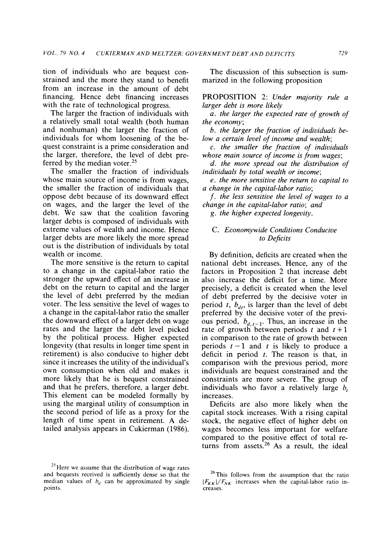**tion of individuals who are bequest constrained and the more they stand to benefit from an increase in the amount of debt financing. Hence debt financing increases with the rate of technological progress.** 

**The larger the fraction of individuals with a relatively small total wealth (both human and nonhuman) the larger the fraction of individuals for whom loosening of the bequest constraint is a prime consideration and the larger, therefore, the level of debt preferred by the median voter.25** 

**The smaller the fraction of individuals whose main source of income is from wages, the smaller the fraction of individuals that oppose debt because of its downward effect on wages, and the larger the level of the debt. We saw that the coalition favoring larger debts is composed of individuals with extreme values of wealth and income. Hence larger debts are more likely the more spread out is the distribution of individuals by total wealth or income.** 

**The more sensitive is the return to capital to a change in the capital-labor ratio the stronger the upward effect of an increase in debt on the return to capital and the larger the level of debt preferred by the median voter. The less sensitive the level of wages to a change in the capital-labor ratio the smaller the downward effect of a larger debt on wage rates and the larger the debt level picked by the political process. Higher expected longevity (that results in longer time spent in retirement) is also conducive to higher debt since it increases the utility of the individual's own consumption when old and makes it more likely that he is bequest constrained and that he prefers, therefore, a larger debt. This element can be modeled formally by using the marginal utility of consumption in the second period of life as a proxy for the length of time spent in retirement. A detailed analysis appears in Cukierman (1986).** 

**The discussion of this subsection is summarized in the following proposition** 

**PROPOSITION 2: Under majority rule a larger debt is more likely** 

**a. the larger the expected rate of growth of the economy;** 

**b. the larger the fraction of individuals below a certain level of income and wealth;** 

**c. the smaller the fraction of individuals whose main source of income is from wages;** 

**d. the more spread out the distribution of individuals by total wealth or income;** 

**e. the more sensitive the return to capital to a change in the capital-labor ratio;** 

**f. the less sensitive the level of wages to a change in the capital-labor ratio; and g. the higher expected longevity.** 

## **C. Economywide Conditions Conducive to Deficits**

**By definition, deficits are created when the national debt increases. Hence, any of the factors in Proposition 2 that increase debt also increase the deficit for a time. More precisely, a deficit is created when the level of debt preferred by the decisive voter in**  period *t*,  $b_{dt}$ , is larger than the level of debt **preferred by the decisive voter of the previ**ous period,  $b_{d,t-1}$ . Thus, an increase in the rate of growth between periods t and  $t + 1$ **in comparison to the rate of growth between**  periods  $t - 1$  and  $t$  is likely to produce a **deficit in period t. The reason is that, in comparison with the previous period, more individuals are bequest constrained and the constraints are more severe. The group of**  individuals who favor a relatively large *b*, **increases.** 

**Deficits are also more likely when the capital stock increases. With a rising capital stock, the negative effect of higher debt on wages becomes less important for welfare compared to the positive effect of total returns from assets.26 As a result, the ideal** 

<sup>&</sup>lt;sup>25</sup> Here we assume that the distribution of wage rates **and bequests received is sufficiently dense so that the**  median values of  $b_d$  can be approximated by single **points.** 

**<sup>26</sup>This follows from the assumption that the ratio**   $|F_{KK}|/F_{NK}$  increases when the capital-labor ratio in**creases.**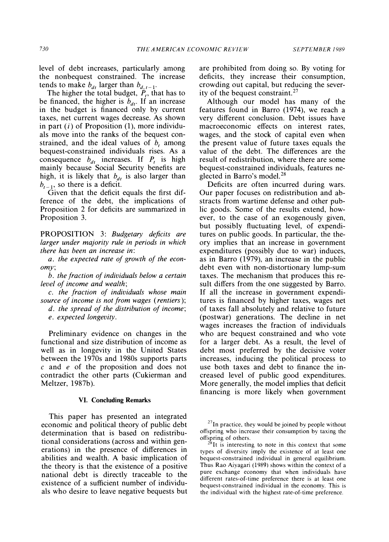**level of debt increases, particularly among the nonbequest constrained. The increase tends to make**  $b_{dt}$  **larger than**  $b_{d, t-1}$ .

The higher the total budget,  $P_t$ , that has to be financed, the higher is  $b_{dt}$ . If an increase **in the budget is financed only by current taxes, net current wages decrease. As shown in part (i) of Proposition (1), more individuals move into the ranks of the bequest constrained, and the ideal values of b, among bequest-constrained individuals rises. As a**  consequence  $b_{dt}$  increases. If  $P_t$  is high **mainly because Social Security benefits are**  high, it is likely that  $b_{dt}$  is also larger than  $b_{t-1}$ , so there is a deficit.

**Given that the deficit equals the first difference of the debt, the implications of Proposition 2 for deficits are summarized in Proposition 3.** 

**PROPOSITION 3: Budgetary deficits are larger under majority rule in periods in which there has been an increase in:** 

**a. the expected rate of growth of the economy;** 

**b. the fraction of individuals below a certain level of income and wealth;** 

**c. the fraction of individuals whose main source of income is not from wages (rentiers);** 

**d. the spread of the distribution of income;** 

**e. expected longevity.** 

**Preliminary evidence on changes in the functional and size distribution of income as well as in longevity in the United States between the 1970s and 1980s supports parts c and e of the proposition and does not contradict the other parts (Cukierman and Meltzer, 1987b).** 

#### **VI. Concluding Remarks**

**This paper has presented an integrated economic and political theory of public debt determination that is based on redistributional considerations (across and within generations) in the presence of differences in abilities and wealth. A basic implication of the theory is that the existence of a positive national debt is directly traceable to the existence of a sufficient number of individuals who desire to leave negative bequests but**  **are prohibited from doing so. By voting for deficits, they increase their consumption, crowding out capital, but reducing the severity of the bequest constraint.27** 

**Although our model has many of the features found in Barro (1974), we reach a very different conclusion. Debt issues have macroeconomic effects on interest rates, wages, and the stock of capital even when the present value of future taxes equals the value of the debt. The differences are the result of redistribution, where there are some bequest-constrained individuals, features neglected in Barro's model.28** 

**Deficits are often incurred during wars. Our paper focuses on redistribution and abstracts from wartime defense and other public goods. Some of the results extend, however, to the case of an exogenously given, but possibly fluctuating level, of expenditures on public goods. In particular, the theory implies that an increase in government expenditures (possibly due to war) induces, as in Barro (1979), an increase in the public debt even with non-distortionary lump-sum taxes. The mechanism that produces this result differs from the one suggested by Barro. If all the increase in government expenditures is financed by higher taxes, wages net of taxes fall absolutely and relative to future (postwar) generations. The decline in net wages increases the fraction of individuals who are bequest constrained and who vote for a larger debt. As a result, the level of debt most preferred by the decisive voter increases, inducing the political process to use both taxes and debt to finance the increased level of public good expenditures. More generally, the model implies that deficit financing is more likely when government** 

**<sup>27</sup>In practice, they would be joined by people without offspring who increase their consumption by taxing the**  offspring of others.

**<sup>28</sup>Lt is interesting to note in this context that some types of diversity imply the existence of at least one bequest-constrained individual in general equilibrium. Thus Rao Aiyagari (1989) shows within the context of a pure exchange economy that when individuals have different rates-of-time preference there is at least one bequest-constrained individual in the economy. This is the individual with the highest rate-of-time preference.**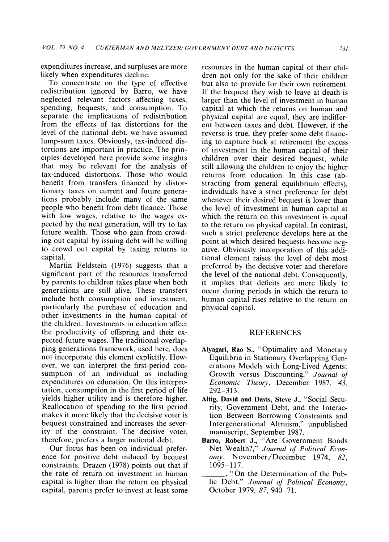**expenditures increase, and surpluses are more likely when expenditures decline.** 

**To concentrate on the type of effective redistribution ignored by Barro, we have neglected relevant factors affecting taxes, spending, bequests, and consumption. To separate the implications of redistribution from the effects of tax distortions for the level of the national debt, we have assumed lump-sum taxes. Obviously, tax-induced distortions are important in practice. The principles developed here provide some insights that may be relevant for the analysis of tax-induced distortions. Those who would benefit from transfers financed by distortionary taxes on current and future generations probably include many of the same people who benefit from debt finance. Those with low wages, relative to the wages expected by the next generation, will try to tax future wealth. Those who gain from crowding out capital by issuing debt will be willing to crowd out capital by taxing returns to capital.** 

**Martin Feldstein (1976) suggests that a significant part of the resources transferred by parents to children takes place when both generations are still alive. These transfers include both consumption and investment, particularly the purchase of education and other investments in the human capital of the children. Investments in education affect the productivity of offspring and their expected future wages. The traditional overlapping generations framework, used here, does not incorporate this element explicitly. However, we can interpret the first-period consumption of an individual as including expenditures on education. On this interpretation, consumption in the first period of life yields higher utility and is therefore higher. Reallocation of spending to the first period makes it more likely that the decisive voter is bequest constrained and increases the severity of the constraint. The decisive voter, therefore, prefers a larger national debt.** 

**Our focus has been on individual preference for positive debt induced by bequest constraints. Drazen (1978) points out that if the rate of return on investment in human capital is higher than the return on physical capital, parents prefer to invest at least some** 

**resources in the human capital of their children not only for the sake of their children but also to provide for their own retirement. If the bequest they wish to leave at death is larger than the level of investment in human capital at which the returns on human and physical capital are equal, they are indifferent between taxes and debt. However, if the reverse is true, they prefer some debt financing to capture back at retirement the excess of investment in the human capital of their children over their desired bequest, while still allowing the children to enjoy the higher returns from education. In this case (abstracting from general equilibrium effects), individuals have a strict preference for debt whenever their desired bequest is lower than the level of investment in human capital at which the return on this investment is equal to the return on physical capital. In contrast, such a strict preference develops here at the point at which desired bequests become negative. Obviously incorporation of this additional element raises the level of debt most preferred by the decisive voter and therefore the level of the national debt. Consequently, it implies that deficits are more likely to occur during periods in which the return to human capital rises relative to the return on physical capital.** 

#### **REFERENCES**

- **Aiyagari, Rao S., "Optimality and Monetary Equilibria in Stationary Overlapping Generations Models with Long-Lived Agents: Growth versus Discounting," Journal of Economic Theory, December 1987, 43, 292-313.**
- **Altig, David and Davis, Steve J., "Social Security, Government Debt, and the Interaction Between Borrowing Constraints and Intergenerational Altruism," unpublished manuscript, September 1987.**
- **Barro, Robert J., "Are Government Bonds Net Wealth?," Journal of Political Economy, November/December 1974, 82, 1095-117.**
- **,\_ "On the Determination of the Public Debt," Journal of Political Economy, October 1979, 87, 940-71.**